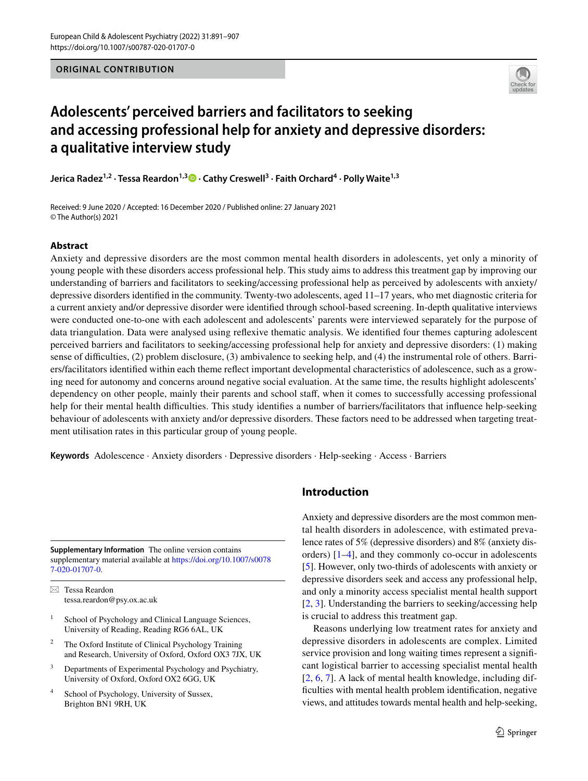

# **Adolescents' perceived barriers and facilitators to seeking and accessing professional help for anxiety and depressive disorders: a qualitative interview study**

**Jerica Radez1,2 · Tessa Reardon1,3 · Cathy Creswell3 · Faith Orchard4 · Polly Waite1,3**

Received: 9 June 2020 / Accepted: 16 December 2020 / Published online: 27 January 2021 © The Author(s) 2021

# **Abstract**

Anxiety and depressive disorders are the most common mental health disorders in adolescents, yet only a minority of young people with these disorders access professional help. This study aims to address this treatment gap by improving our understanding of barriers and facilitators to seeking/accessing professional help as perceived by adolescents with anxiety/ depressive disorders identifed in the community. Twenty-two adolescents, aged 11–17 years, who met diagnostic criteria for a current anxiety and/or depressive disorder were identifed through school-based screening. In-depth qualitative interviews were conducted one-to-one with each adolescent and adolescents' parents were interviewed separately for the purpose of data triangulation. Data were analysed using refexive thematic analysis. We identifed four themes capturing adolescent perceived barriers and facilitators to seeking/accessing professional help for anxiety and depressive disorders: (1) making sense of difculties, (2) problem disclosure, (3) ambivalence to seeking help, and (4) the instrumental role of others. Barriers/facilitators identifed within each theme refect important developmental characteristics of adolescence, such as a growing need for autonomy and concerns around negative social evaluation. At the same time, the results highlight adolescents' dependency on other people, mainly their parents and school staf, when it comes to successfully accessing professional help for their mental health difficulties. This study identifies a number of barriers/facilitators that influence help-seeking behaviour of adolescents with anxiety and/or depressive disorders. These factors need to be addressed when targeting treatment utilisation rates in this particular group of young people.

**Keywords** Adolescence · Anxiety disorders · Depressive disorders · Help-seeking · Access · Barriers

**Supplementary Information** The online version contains supplementary material available at [https://doi.org/10.1007/s0078](https://doi.org/10.1007/s00787-020-01707-0) [7-020-01707-0](https://doi.org/10.1007/s00787-020-01707-0).

 $\boxtimes$  Tessa Reardon tessa.reardon@psy.ox.ac.uk

- <sup>1</sup> School of Psychology and Clinical Language Sciences, University of Reading, Reading RG6 6AL, UK
- <sup>2</sup> The Oxford Institute of Clinical Psychology Training and Research, University of Oxford, Oxford OX3 7JX, UK
- <sup>3</sup> Departments of Experimental Psychology and Psychiatry, University of Oxford, Oxford OX2 6GG, UK
- <sup>4</sup> School of Psychology, University of Sussex, Brighton BN1 9RH, UK

# **Introduction**

Anxiety and depressive disorders are the most common mental health disorders in adolescence, with estimated prevalence rates of 5% (depressive disorders) and 8% (anxiety disorders) [\[1](#page-15-0)[–4](#page-15-1)], and they commonly co-occur in adolescents [\[5](#page-15-2)]. However, only two-thirds of adolescents with anxiety or depressive disorders seek and access any professional help, and only a minority access specialist mental health support [[2,](#page-15-3) [3](#page-15-4)]. Understanding the barriers to seeking/accessing help is crucial to address this treatment gap.

Reasons underlying low treatment rates for anxiety and depressive disorders in adolescents are complex. Limited service provision and long waiting times represent a signifcant logistical barrier to accessing specialist mental health [[2,](#page-15-3) [6,](#page-15-5) [7\]](#page-15-6). A lack of mental health knowledge, including diffculties with mental health problem identifcation, negative views, and attitudes towards mental health and help-seeking,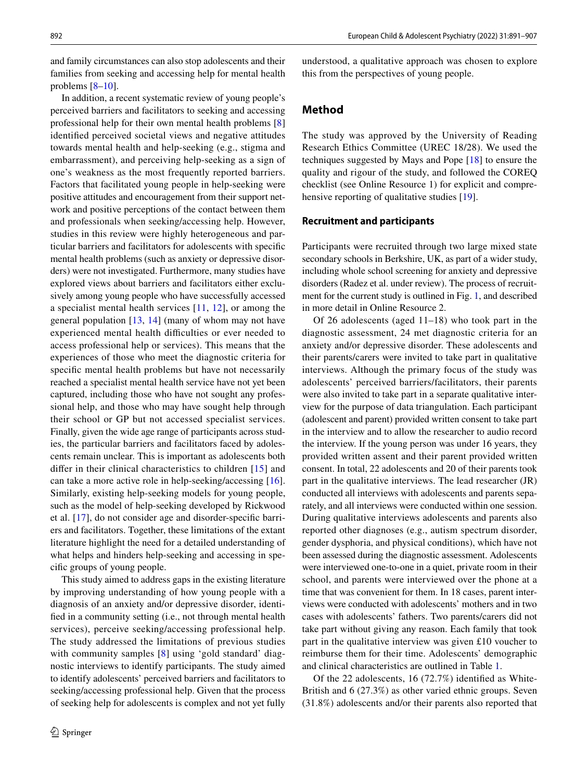and family circumstances can also stop adolescents and their families from seeking and accessing help for mental health problems  $[8-10]$  $[8-10]$ .

In addition, a recent systematic review of young people's perceived barriers and facilitators to seeking and accessing professional help for their own mental health problems [[8\]](#page-15-7) identifed perceived societal views and negative attitudes towards mental health and help-seeking (e.g., stigma and embarrassment), and perceiving help-seeking as a sign of one's weakness as the most frequently reported barriers. Factors that facilitated young people in help-seeking were positive attitudes and encouragement from their support network and positive perceptions of the contact between them and professionals when seeking/accessing help. However, studies in this review were highly heterogeneous and particular barriers and facilitators for adolescents with specifc mental health problems (such as anxiety or depressive disorders) were not investigated. Furthermore, many studies have explored views about barriers and facilitators either exclusively among young people who have successfully accessed a specialist mental health services [[11](#page-15-9), [12](#page-15-10)], or among the general population [[13](#page-15-11), [14\]](#page-15-12) (many of whom may not have experienced mental health difficulties or ever needed to access professional help or services). This means that the experiences of those who meet the diagnostic criteria for specifc mental health problems but have not necessarily reached a specialist mental health service have not yet been captured, including those who have not sought any professional help, and those who may have sought help through their school or GP but not accessed specialist services. Finally, given the wide age range of participants across studies, the particular barriers and facilitators faced by adolescents remain unclear. This is important as adolescents both difer in their clinical characteristics to children [[15\]](#page-15-13) and can take a more active role in help-seeking/accessing [\[16](#page-15-14)]. Similarly, existing help-seeking models for young people, such as the model of help-seeking developed by Rickwood et al. [\[17](#page-15-15)], do not consider age and disorder-specifc barriers and facilitators. Together, these limitations of the extant literature highlight the need for a detailed understanding of what helps and hinders help-seeking and accessing in specifc groups of young people.

This study aimed to address gaps in the existing literature by improving understanding of how young people with a diagnosis of an anxiety and/or depressive disorder, identifed in a community setting (i.e., not through mental health services), perceive seeking/accessing professional help. The study addressed the limitations of previous studies with community samples [\[8](#page-15-7)] using 'gold standard' diagnostic interviews to identify participants. The study aimed to identify adolescents' perceived barriers and facilitators to seeking/accessing professional help. Given that the process of seeking help for adolescents is complex and not yet fully understood, a qualitative approach was chosen to explore this from the perspectives of young people.

# **Method**

The study was approved by the University of Reading Research Ethics Committee (UREC 18/28). We used the techniques suggested by Mays and Pope [[18\]](#page-15-16) to ensure the quality and rigour of the study, and followed the COREQ checklist (see Online Resource 1) for explicit and comprehensive reporting of qualitative studies [[19\]](#page-15-17).

#### **Recruitment and participants**

Participants were recruited through two large mixed state secondary schools in Berkshire, UK, as part of a wider study, including whole school screening for anxiety and depressive disorders (Radez et al. under review). The process of recruitment for the current study is outlined in Fig. [1](#page-2-0), and described in more detail in Online Resource 2.

Of 26 adolescents (aged 11–18) who took part in the diagnostic assessment, 24 met diagnostic criteria for an anxiety and/or depressive disorder. These adolescents and their parents/carers were invited to take part in qualitative interviews. Although the primary focus of the study was adolescents' perceived barriers/facilitators, their parents were also invited to take part in a separate qualitative interview for the purpose of data triangulation. Each participant (adolescent and parent) provided written consent to take part in the interview and to allow the researcher to audio record the interview. If the young person was under 16 years, they provided written assent and their parent provided written consent. In total, 22 adolescents and 20 of their parents took part in the qualitative interviews. The lead researcher (JR) conducted all interviews with adolescents and parents separately, and all interviews were conducted within one session. During qualitative interviews adolescents and parents also reported other diagnoses (e.g., autism spectrum disorder, gender dysphoria, and physical conditions), which have not been assessed during the diagnostic assessment. Adolescents were interviewed one-to-one in a quiet, private room in their school, and parents were interviewed over the phone at a time that was convenient for them. In 18 cases, parent interviews were conducted with adolescents' mothers and in two cases with adolescents' fathers. Two parents/carers did not take part without giving any reason. Each family that took part in the qualitative interview was given £10 voucher to reimburse them for their time. Adolescents' demographic and clinical characteristics are outlined in Table [1.](#page-3-0)

Of the 22 adolescents, 16 (72.7%) identifed as White-British and 6 (27.3%) as other varied ethnic groups. Seven (31.8%) adolescents and/or their parents also reported that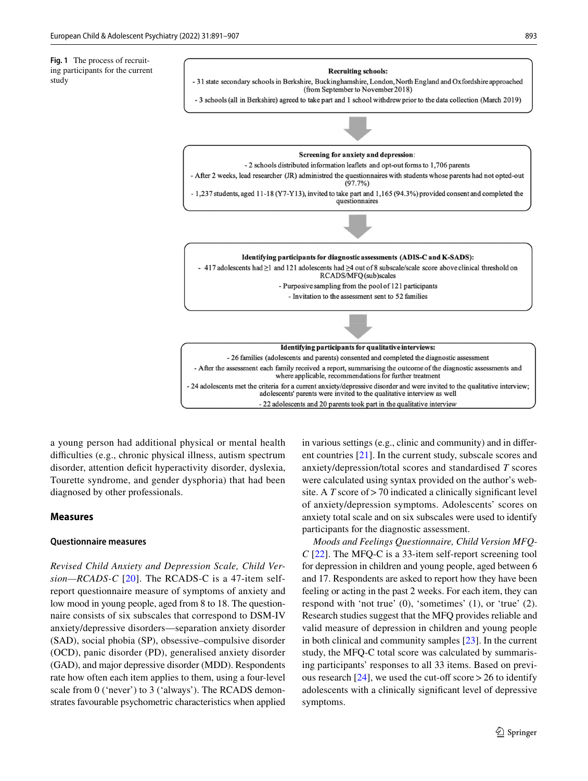<span id="page-2-0"></span>**Fig. 1** The process of recruiting participants for the current study



a young person had additional physical or mental health difficulties (e.g., chronic physical illness, autism spectrum disorder, attention deficit hyperactivity disorder, dyslexia, Tourette syndrome, and gender dysphoria) that had been diagnosed by other professionals.

### **Measures**

### **Questionnaire measures**

*Revised Child Anxiety and Depression Scale, Child Version—RCADS-C* [[20\]](#page-15-18). The RCADS-C is a 47-item selfreport questionnaire measure of symptoms of anxiety and low mood in young people, aged from 8 to 18. The questionnaire consists of six subscales that correspond to DSM-IV anxiety/depressive disorders—separation anxiety disorder (SAD), social phobia (SP), obsessive–compulsive disorder (OCD), panic disorder (PD), generalised anxiety disorder (GAD), and major depressive disorder (MDD). Respondents rate how often each item applies to them, using a four-level scale from 0 ('never') to 3 ('always'). The RCADS demonstrates favourable psychometric characteristics when applied in various settings (e.g., clinic and community) and in diferent countries [[21](#page-15-19)]. In the current study, subscale scores and anxiety/depression/total scores and standardised *T* scores were calculated using syntax provided on the author's website. A *T* score of > 70 indicated a clinically significant level of anxiety/depression symptoms. Adolescents' scores on anxiety total scale and on six subscales were used to identify participants for the diagnostic assessment.

*Moods and Feelings Questionnaire, Child Version MFQ-C* [[22](#page-15-20)]. The MFQ-C is a 33-item self-report screening tool for depression in children and young people, aged between 6 and 17. Respondents are asked to report how they have been feeling or acting in the past 2 weeks. For each item, they can respond with 'not true' (0), 'sometimes' (1), or 'true' (2). Research studies suggest that the MFQ provides reliable and valid measure of depression in children and young people in both clinical and community samples [[23\]](#page-15-21). In the current study, the MFQ-C total score was calculated by summarising participants' responses to all 33 items. Based on previous research  $[24]$  $[24]$ , we used the cut-off score > 26 to identify adolescents with a clinically signifcant level of depressive symptoms.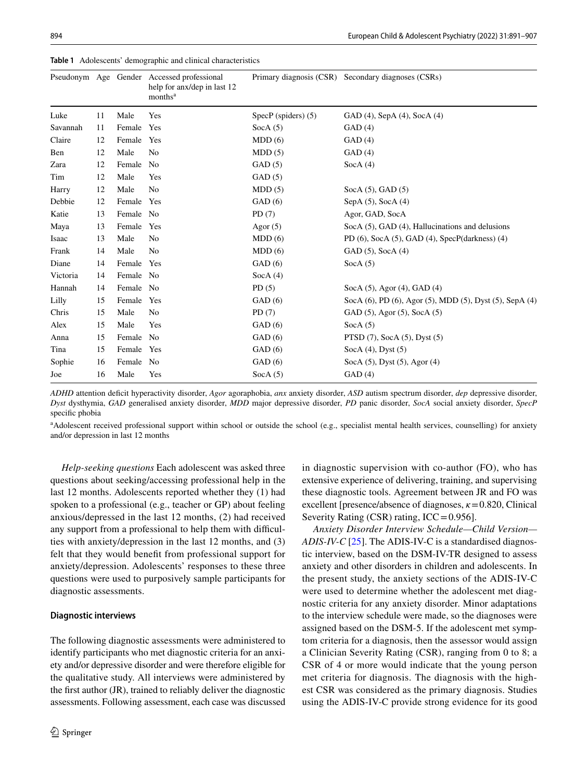|          |    |        | Pseudonym Age Gender Accessed professional<br>help for anx/dep in last 12<br>months <sup>a</sup> |                     | Primary diagnosis (CSR) Secondary diagnoses (CSRs)            |
|----------|----|--------|--------------------------------------------------------------------------------------------------|---------------------|---------------------------------------------------------------|
| Luke     | 11 | Male   | Yes                                                                                              | SpecP (spiders) (5) | GAD (4), SepA (4), SocA (4)                                   |
| Savannah | 11 | Female | Yes                                                                                              | Soc $A(5)$          | GAD(4)                                                        |
| Claire   | 12 | Female | Yes                                                                                              | MDD(6)              | GAD(4)                                                        |
| Ben      | 12 | Male   | No                                                                                               | MDD(5)              | GAD(4)                                                        |
| Zara     | 12 | Female | No                                                                                               | GAD(5)              | Soc $A(4)$                                                    |
| Tim      | 12 | Male   | Yes                                                                                              | GAD(5)              |                                                               |
| Harry    | 12 | Male   | N <sub>0</sub>                                                                                   | MDD(5)              | $SocA(5)$ , GAD $(5)$                                         |
| Debbie   | 12 | Female | Yes                                                                                              | GAD(6)              | SepA $(5)$ , SocA $(4)$                                       |
| Katie    | 13 | Female | N <sub>0</sub>                                                                                   | PD(7)               | Agor, GAD, SocA                                               |
| Maya     | 13 | Female | Yes                                                                                              | Agor $(5)$          | SocA (5), GAD (4), Hallucinations and delusions               |
| Isaac    | 13 | Male   | No                                                                                               | MDD(6)              | PD $(6)$ , SocA $(5)$ , GAD $(4)$ , SpecP $(datakness)$ $(4)$ |
| Frank    | 14 | Male   | No                                                                                               | MDD(6)              | GAD (5), SocA (4)                                             |
| Diane    | 14 | Female | Yes                                                                                              | GAD(6)              | Soc $A(5)$                                                    |
| Victoria | 14 | Female | No                                                                                               | Soc $A(4)$          |                                                               |
| Hannah   | 14 | Female | No                                                                                               | PD(5)               | Soc $A(5)$ , Agor (4), GAD (4)                                |
| Lilly    | 15 | Female | Yes                                                                                              | GAD(6)              | SocA (6), PD (6), Agor (5), MDD (5), Dyst (5), SepA (4)       |
| Chris    | 15 | Male   | No                                                                                               | PD(7)               | GAD (5), Agor (5), SocA (5)                                   |
| Alex     | 15 | Male   | Yes                                                                                              | GAD(6)              | Soc $A(5)$                                                    |
| Anna     | 15 | Female | No                                                                                               | GAD(6)              | PTSD $(7)$ , SocA $(5)$ , Dyst $(5)$                          |
| Tina     | 15 | Female | Yes                                                                                              | GAD(6)              | Soc $A(4)$ , Dyst $(5)$                                       |
| Sophie   | 16 | Female | No                                                                                               | GAD(6)              | Soc $A(5)$ , Dyst $(5)$ , Agor $(4)$                          |
| Joe      | 16 | Male   | Yes                                                                                              | Soc $A(5)$          | GAD(4)                                                        |

<span id="page-3-0"></span>**Table 1** Adolescents' demographic and clinical characteristics

*ADHD* attention defcit hyperactivity disorder, *Agor* agoraphobia, *anx* anxiety disorder, *ASD* autism spectrum disorder, *dep* depressive disorder, *Dyst* dysthymia, *GAD* generalised anxiety disorder, *MDD* major depressive disorder, *PD* panic disorder, *SocA* social anxiety disorder, *SpecP*  specifc phobia

<sup>a</sup> Adolescent received professional support within school or outside the school (e.g., specialist mental health services, counselling) for anxiety and/or depression in last 12 months

*Help-seeking questions* Each adolescent was asked three questions about seeking/accessing professional help in the last 12 months. Adolescents reported whether they (1) had spoken to a professional (e.g., teacher or GP) about feeling anxious/depressed in the last 12 months, (2) had received any support from a professional to help them with difficulties with anxiety/depression in the last 12 months, and (3) felt that they would beneft from professional support for anxiety/depression. Adolescents' responses to these three questions were used to purposively sample participants for diagnostic assessments.

### **Diagnostic interviews**

The following diagnostic assessments were administered to identify participants who met diagnostic criteria for an anxiety and/or depressive disorder and were therefore eligible for the qualitative study. All interviews were administered by the frst author (JR), trained to reliably deliver the diagnostic assessments. Following assessment, each case was discussed in diagnostic supervision with co-author (FO), who has extensive experience of delivering, training, and supervising these diagnostic tools. Agreement between JR and FO was excellent [presence/absence of diagnoses, *κ*=0.820, Clinical Severity Rating  $(CSR)$  rating,  $ICC = 0.956$ .

*Anxiety Disorder Interview Schedule—Child Version— ADIS-IV-C* [\[25](#page-15-23)]. The ADIS-IV-C is a standardised diagnostic interview, based on the DSM-IV-TR designed to assess anxiety and other disorders in children and adolescents. In the present study, the anxiety sections of the ADIS-IV-C were used to determine whether the adolescent met diagnostic criteria for any anxiety disorder. Minor adaptations to the interview schedule were made, so the diagnoses were assigned based on the DSM-5. If the adolescent met symptom criteria for a diagnosis, then the assessor would assign a Clinician Severity Rating (CSR), ranging from 0 to 8; a CSR of 4 or more would indicate that the young person met criteria for diagnosis. The diagnosis with the highest CSR was considered as the primary diagnosis. Studies using the ADIS-IV-C provide strong evidence for its good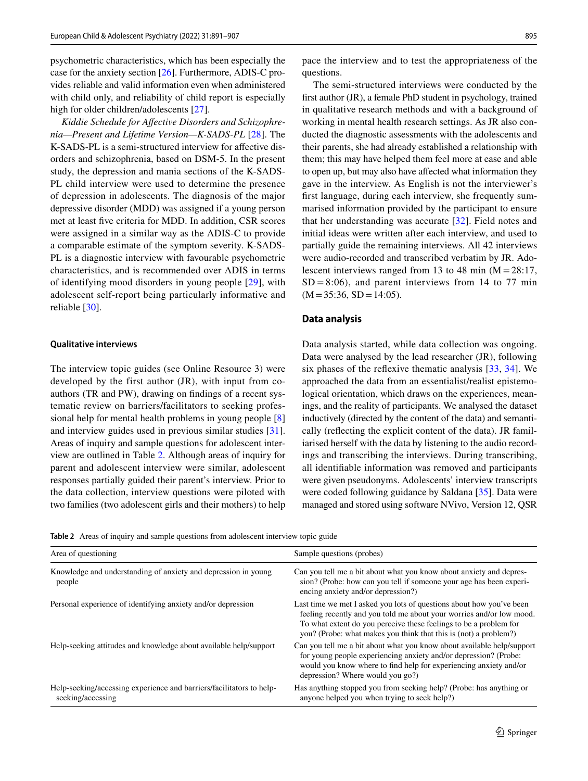psychometric characteristics, which has been especially the case for the anxiety section [[26\]](#page-15-24). Furthermore, ADIS-C provides reliable and valid information even when administered with child only, and reliability of child report is especially high for older children/adolescents [[27\]](#page-15-25).

*Kiddie Schedule for Afective Disorders and Schizophrenia—Present and Lifetime Version—K-SADS-PL* [[28\]](#page-15-26). The K-SADS-PL is a semi-structured interview for afective disorders and schizophrenia, based on DSM-5. In the present study, the depression and mania sections of the K-SADS-PL child interview were used to determine the presence of depression in adolescents. The diagnosis of the major depressive disorder (MDD) was assigned if a young person met at least fve criteria for MDD. In addition, CSR scores were assigned in a similar way as the ADIS-C to provide a comparable estimate of the symptom severity. K-SADS-PL is a diagnostic interview with favourable psychometric characteristics, and is recommended over ADIS in terms of identifying mood disorders in young people [[29\]](#page-15-27), with adolescent self-report being particularly informative and reliable [\[30](#page-15-28)].

#### **Qualitative interviews**

The interview topic guides (see Online Resource 3) were developed by the first author (JR), with input from coauthors (TR and PW), drawing on fndings of a recent systematic review on barriers/facilitators to seeking professional help for mental health problems in young people [[8\]](#page-15-7) and interview guides used in previous similar studies [\[31](#page-15-29)]. Areas of inquiry and sample questions for adolescent interview are outlined in Table [2.](#page-4-0) Although areas of inquiry for parent and adolescent interview were similar, adolescent responses partially guided their parent's interview. Prior to the data collection, interview questions were piloted with two families (two adolescent girls and their mothers) to help pace the interview and to test the appropriateness of the questions.

The semi-structured interviews were conducted by the frst author (JR), a female PhD student in psychology, trained in qualitative research methods and with a background of working in mental health research settings. As JR also conducted the diagnostic assessments with the adolescents and their parents, she had already established a relationship with them; this may have helped them feel more at ease and able to open up, but may also have afected what information they gave in the interview. As English is not the interviewer's frst language, during each interview, she frequently summarised information provided by the participant to ensure that her understanding was accurate [[32\]](#page-15-30). Field notes and initial ideas were written after each interview, and used to partially guide the remaining interviews. All 42 interviews were audio-recorded and transcribed verbatim by JR. Adolescent interviews ranged from 13 to 48 min  $(M = 28:17)$ ,  $SD = 8:06$ , and parent interviews from 14 to 77 min  $(M=35:36, SD=14:05)$ .

#### **Data analysis**

Data analysis started, while data collection was ongoing. Data were analysed by the lead researcher (JR), following six phases of the refexive thematic analysis [[33,](#page-15-31) [34\]](#page-15-32). We approached the data from an essentialist/realist epistemological orientation, which draws on the experiences, meanings, and the reality of participants. We analysed the dataset inductively (directed by the content of the data) and semantically (refecting the explicit content of the data). JR familiarised herself with the data by listening to the audio recordings and transcribing the interviews. During transcribing, all identifable information was removed and participants were given pseudonyms. Adolescents' interview transcripts were coded following guidance by Saldana [[35\]](#page-16-0). Data were managed and stored using software NVivo, Version 12, QSR

<span id="page-4-0"></span>**Table 2** Areas of inquiry and sample questions from adolescent interview topic guide

| Area of questioning                                                                       | Sample questions (probes)                                                                                                                                                                                                                                                             |
|-------------------------------------------------------------------------------------------|---------------------------------------------------------------------------------------------------------------------------------------------------------------------------------------------------------------------------------------------------------------------------------------|
| Knowledge and understanding of anxiety and depression in young<br>people                  | Can you tell me a bit about what you know about anxiety and depres-<br>sion? (Probe: how can you tell if someone your age has been experi-<br>encing anxiety and/or depression?)                                                                                                      |
| Personal experience of identifying anxiety and/or depression                              | Last time we met I asked you lots of questions about how you've been<br>feeling recently and you told me about your worries and/or low mood.<br>To what extent do you perceive these feelings to be a problem for<br>you? (Probe: what makes you think that this is (not) a problem?) |
| Help-seeking attitudes and knowledge about available help/support                         | Can you tell me a bit about what you know about available help/support<br>for young people experiencing anxiety and/or depression? (Probe:<br>would you know where to find help for experiencing anxiety and/or<br>depression? Where would you go?)                                   |
| Help-seeking/accessing experience and barriers/facilitators to help-<br>seeking/accessing | Has anything stopped you from seeking help? (Probe: has anything or<br>anyone helped you when trying to seek help?)                                                                                                                                                                   |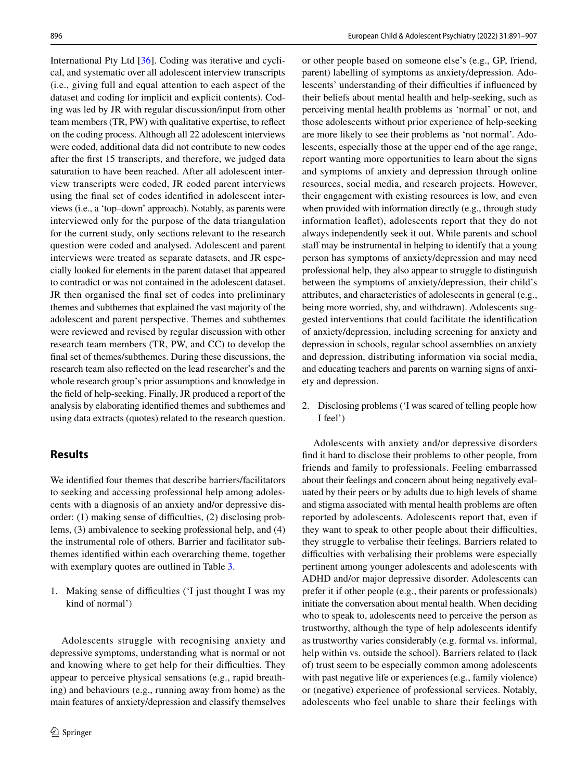International Pty Ltd [[36\]](#page-16-1). Coding was iterative and cyclical, and systematic over all adolescent interview transcripts (i.e., giving full and equal attention to each aspect of the dataset and coding for implicit and explicit contents). Coding was led by JR with regular discussion/input from other team members (TR, PW) with qualitative expertise, to refect on the coding process. Although all 22 adolescent interviews were coded, additional data did not contribute to new codes after the frst 15 transcripts, and therefore, we judged data saturation to have been reached. After all adolescent interview transcripts were coded, JR coded parent interviews using the fnal set of codes identifed in adolescent interviews (i.e., a 'top–down' approach). Notably, as parents were interviewed only for the purpose of the data triangulation for the current study, only sections relevant to the research question were coded and analysed. Adolescent and parent interviews were treated as separate datasets, and JR especially looked for elements in the parent dataset that appeared to contradict or was not contained in the adolescent dataset. JR then organised the fnal set of codes into preliminary themes and subthemes that explained the vast majority of the adolescent and parent perspective. Themes and subthemes were reviewed and revised by regular discussion with other research team members (TR, PW, and CC) to develop the fnal set of themes/subthemes. During these discussions, the research team also refected on the lead researcher's and the whole research group's prior assumptions and knowledge in the feld of help-seeking. Finally, JR produced a report of the analysis by elaborating identifed themes and subthemes and using data extracts (quotes) related to the research question.

# **Results**

We identifed four themes that describe barriers/facilitators to seeking and accessing professional help among adolescents with a diagnosis of an anxiety and/or depressive disorder:  $(1)$  making sense of difficulties,  $(2)$  disclosing problems, (3) ambivalence to seeking professional help, and (4) the instrumental role of others. Barrier and facilitator subthemes identifed within each overarching theme, together with exemplary quotes are outlined in Table [3.](#page-6-0)

1. Making sense of difficulties ('I just thought I was my kind of normal')

Adolescents struggle with recognising anxiety and depressive symptoms, understanding what is normal or not and knowing where to get help for their difficulties. They appear to perceive physical sensations (e.g., rapid breathing) and behaviours (e.g., running away from home) as the main features of anxiety/depression and classify themselves or other people based on someone else's (e.g., GP, friend, parent) labelling of symptoms as anxiety/depression. Adolescents' understanding of their difficulties if influenced by their beliefs about mental health and help-seeking, such as perceiving mental health problems as 'normal' or not, and those adolescents without prior experience of help-seeking are more likely to see their problems as 'not normal'. Adolescents, especially those at the upper end of the age range, report wanting more opportunities to learn about the signs and symptoms of anxiety and depression through online resources, social media, and research projects. However, their engagement with existing resources is low, and even when provided with information directly (e.g., through study information leafet), adolescents report that they do not always independently seek it out. While parents and school staff may be instrumental in helping to identify that a young person has symptoms of anxiety/depression and may need professional help, they also appear to struggle to distinguish between the symptoms of anxiety/depression, their child's attributes, and characteristics of adolescents in general (e.g., being more worried, shy, and withdrawn). Adolescents suggested interventions that could facilitate the identifcation of anxiety/depression, including screening for anxiety and depression in schools, regular school assemblies on anxiety and depression, distributing information via social media, and educating teachers and parents on warning signs of anxiety and depression.

2. Disclosing problems ('I was scared of telling people how I feel')

Adolescents with anxiety and/or depressive disorders fnd it hard to disclose their problems to other people, from friends and family to professionals. Feeling embarrassed about their feelings and concern about being negatively evaluated by their peers or by adults due to high levels of shame and stigma associated with mental health problems are often reported by adolescents. Adolescents report that, even if they want to speak to other people about their difficulties, they struggle to verbalise their feelings. Barriers related to difficulties with verbalising their problems were especially pertinent among younger adolescents and adolescents with ADHD and/or major depressive disorder. Adolescents can prefer it if other people (e.g., their parents or professionals) initiate the conversation about mental health. When deciding who to speak to, adolescents need to perceive the person as trustworthy, although the type of help adolescents identify as trustworthy varies considerably (e.g. formal vs. informal, help within vs. outside the school). Barriers related to (lack of) trust seem to be especially common among adolescents with past negative life or experiences (e.g., family violence) or (negative) experience of professional services. Notably, adolescents who feel unable to share their feelings with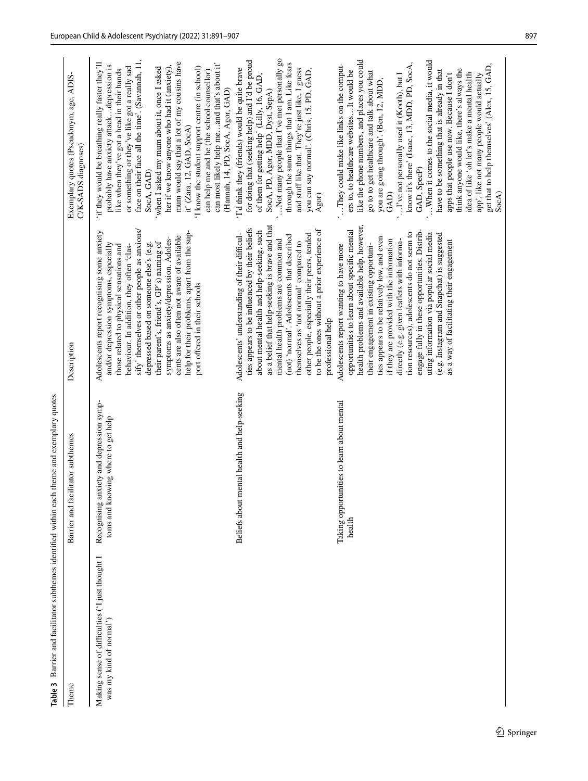<span id="page-6-0"></span>

| Table <sub>3</sub>                                                         | Barrier and facilitator subthemes identified within each theme and exemplary quotes |                                                                                                                                                                                                                                                                                                                                                                                                                                                                                                                                                                        |                                                                                                                                                                                                                                                                                                                                                                                                                                                                                                                                                                                                                                                     |
|----------------------------------------------------------------------------|-------------------------------------------------------------------------------------|------------------------------------------------------------------------------------------------------------------------------------------------------------------------------------------------------------------------------------------------------------------------------------------------------------------------------------------------------------------------------------------------------------------------------------------------------------------------------------------------------------------------------------------------------------------------|-----------------------------------------------------------------------------------------------------------------------------------------------------------------------------------------------------------------------------------------------------------------------------------------------------------------------------------------------------------------------------------------------------------------------------------------------------------------------------------------------------------------------------------------------------------------------------------------------------------------------------------------------------|
| Theme                                                                      | Barrier and facilitator subthemes                                                   | Description                                                                                                                                                                                                                                                                                                                                                                                                                                                                                                                                                            | Exemplary quotes (Pseudonym, age, ADIS-<br>C/K-SADS diagnoses)                                                                                                                                                                                                                                                                                                                                                                                                                                                                                                                                                                                      |
| Making sense of difficulties ('I just thought I<br>was my kind of normal') | Recognising anxiety and depression symp-<br>toms and knowing where to get help      | sify' themselves or other people as anxious/<br>Adolescents report recognising some anxiety<br>help for their problems, apart from the sup-<br>cents are also often not aware of available<br>symptoms as anxiety/depression. Adoles-<br>their parent's, friend's, GP's) naming of<br>depressed based on someone else's (e.g.<br>and/or depression symptoms, especially<br>behaviour. In addition, they often 'clas-<br>those related to physical sensations and<br>port offered in their schools                                                                      | face on their face all the time'. (Savannah, 11,<br>if they would be breathing really faster they'll<br>mum would say that a lot of my cousins have<br>can most likely help meand that's about it'<br>probably have anxiety attackdepression is<br>her if we know anyone who had it (anxiety),<br>or something or they've like got a really sad<br>'I know the student support centre (in school)<br>when I asked my mum about it, once I asked<br>like when they've got a head in their hands<br>can help me and he (the school counsellor)<br>it' (Zara, 12, GAD, SocA)<br>SocA, GAD)                                                             |
|                                                                            | mental health and help-seeking<br>Beliefs about                                     | as a belief that help-seeking is brave and that<br>ties appears to be influenced by their beliefs<br>to be the ones without a prior experience of<br>about mental health and help-seeking, such<br>other people, especially their peers, tended<br>Adolescents' understanding of their difficul-<br>(not) 'normal'. Adolescents that described<br>mental health problems are common and<br>themselves as 'not normal' compared to<br>professional help                                                                                                                 | 'Not many people that I've met personally go<br>for doing that (seeking help) and I'd be proud<br>through the same things that I am. Like fears<br>'I'd think they (friends) would be quite brave<br>and stuff like that. They're just like, I guess<br>you can say normal'. (Chris, 15, PD, GAD,<br>of them for getting help' (Lilly, 16, GAD,<br>SocA, PD, Agor, MDD, Dyst, SepA)<br>(Hannah, 14, PD, SocA, Agor, GAD)<br>Agor)                                                                                                                                                                                                                   |
|                                                                            | Taking opportunities to learn about mental<br>health                                | health problems and available help, however,<br>opportunities to learn about specific mental<br>engage fully in these opportunities. Distrib-<br>tion resources), adolescents do not seem to<br>uting information via popular social media<br>(e.g. Instagram and Snapchat) is suggested<br>ties appears to be relatively low, and even<br>directly (e.g. given leaflets with informa-<br>if they are provided with the information<br>as a way of facilitating their engagement<br>their engagement in existing opportuni-<br>Adolescents report wanting to have more | like the phone numbers, and places you could<br>When it comes to the social media, it would<br>"They could make like links on the comput-<br>know it's there' (Isaac, 13, MDD, PD, SocA,<br>think anyone would like, there's always the<br>have to be something that is already in that<br>ers to, to healthcare websitesIt would be<br>go to to get healthcare and talk about what<br>apps that people use now. Because I don't<br>"I've not personally used it (Kooth), but I<br>idea of like 'oh let's make a mental health<br>app', like not many people would actually<br>you are going through'. (Ben, 12, MDD,<br>GAD, SpecP)<br>${\rm GAD}$ |
|                                                                            |                                                                                     |                                                                                                                                                                                                                                                                                                                                                                                                                                                                                                                                                                        | get that to help themselves' (Alex, 15, GAD,<br>Soc(A)                                                                                                                                                                                                                                                                                                                                                                                                                                                                                                                                                                                              |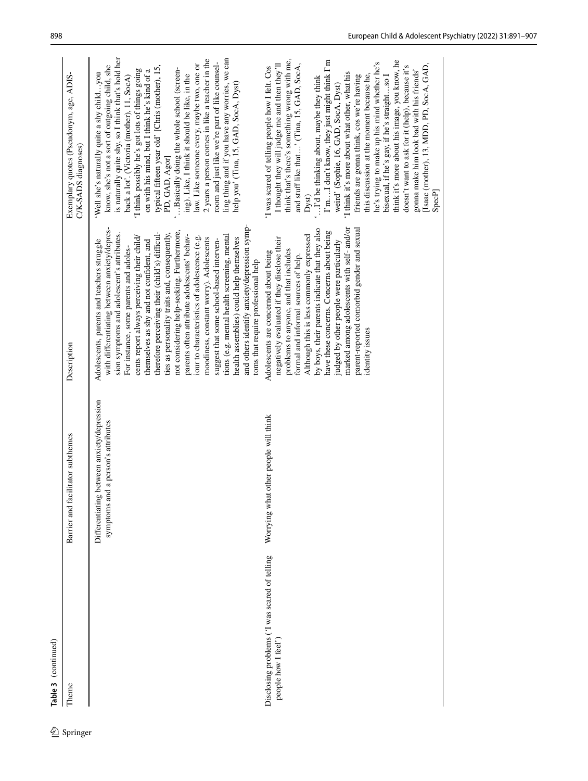|            | Table 3 (continued)                                                  |                                                                                     |                                                                                                                                                                                                                                                                                                                                                                                                                                                                                                                                                                                                                                                                                                                                                                                                        |                                                                                                                                                                                                                                                                                                                                                                                                                                                                                                                                                                                                                                                                                                                                                                                           |
|------------|----------------------------------------------------------------------|-------------------------------------------------------------------------------------|--------------------------------------------------------------------------------------------------------------------------------------------------------------------------------------------------------------------------------------------------------------------------------------------------------------------------------------------------------------------------------------------------------------------------------------------------------------------------------------------------------------------------------------------------------------------------------------------------------------------------------------------------------------------------------------------------------------------------------------------------------------------------------------------------------|-------------------------------------------------------------------------------------------------------------------------------------------------------------------------------------------------------------------------------------------------------------------------------------------------------------------------------------------------------------------------------------------------------------------------------------------------------------------------------------------------------------------------------------------------------------------------------------------------------------------------------------------------------------------------------------------------------------------------------------------------------------------------------------------|
| 2 Springer | Theme                                                                | Barrier and facilitator subthemes                                                   | Description                                                                                                                                                                                                                                                                                                                                                                                                                                                                                                                                                                                                                                                                                                                                                                                            | Exemplary quotes (Pseudonym, age, ADIS-<br>C/K-SADS diagnoses)                                                                                                                                                                                                                                                                                                                                                                                                                                                                                                                                                                                                                                                                                                                            |
|            |                                                                      | between anxiety/depression<br>symptoms and a person's attributes<br>Differentiating | and others identify anxiety/depression symp-<br>with differentiating between anxiety/depres-<br>not considering help-seeking. Furthermore,<br>therefore perceiving their (child's) difficul-<br>ties as personality traits and, consequently,<br>sion symptoms and adolescent's attributes.<br>parents often attribute adolescents' behav-<br>tions (e.g. mental health screening, mental<br>iour to characteristics of adolescence (e.g.<br>cents report always perceiving their child/<br>health assemblies) could help themselves<br>moodiness, constant worry). Adolescents<br>suggest that some school-based interven-<br>Adolescents, parents and teachers struggle<br>themselves as shy and not confident, and<br>For instance, some parents and adoles-<br>toms that require professional help | is naturally quite shy, so I think that's hold her<br>ling thing and if you have any worries, we can<br>2 years a person comes in like a teacher in the<br>room and just like we're part of like counsel-<br>law. Like someone every, maybe two, one or<br>know, she's not a sort of outgoing child, she<br>typical fifteen year old' [Chris (mother), 15,<br>'Basically doing the whole school (screen-<br>I think possibly he's got lots of things going<br>on with his mind, but I think he's kind of a<br>Well she's naturally quite a shy childyou<br>ing). Like, I think it should be like, in the<br>back a lot'. (Victoria (mother), 11, SocA)<br>help you' (Tina, 15, GAD, SocA, Dyst)<br>PD, GAD, Agor]                                                                         |
|            | Disclosing problems ('I was scared of telling<br>people how I feel') | Worrying what other people will think                                               | marked among adolescents with self-and/or<br>parent-reported comorbid gender and sexual<br>by boys, their parents indicate that they also<br>have these concerns. Concerns about being<br>Although this is less commonly expressed<br>negatively evaluated if they disclose their<br>judged by other people were particularly<br>problems to anyone, and that includes<br>Adolescents are concerned about being<br>formal and informal sources of help.<br>identity issues                                                                                                                                                                                                                                                                                                                             | think that's there's something wrong with me,<br>think it's more about his image, you know, he<br>I'mI don't know, they just might think I'm<br>he's trying to make up his mind whether he's<br>I thought they will judge me and then they'll<br>and stuff like that' (Tina, 15, GAD, SocA,<br>[Isaac (mother), 13, MDD, PD, SocA, GAD,<br>doesn't want to ask for it (help), because it's<br>'I was scared of telling people how I felt. Cos<br>gonna make him look bad with his friends'<br>'I think it's more about what other, what his<br>bisexual, if he's gay, if he's straightso I<br>this discussion at the moment because he,<br>friends are gonna think, cos we're having<br>I'd be thinking about, maybe they think<br>weird' (Sophie, 16, GAD, SocA, Dyst)<br>SpecP<br>Dyst) |
|            |                                                                      |                                                                                     |                                                                                                                                                                                                                                                                                                                                                                                                                                                                                                                                                                                                                                                                                                                                                                                                        |                                                                                                                                                                                                                                                                                                                                                                                                                                                                                                                                                                                                                                                                                                                                                                                           |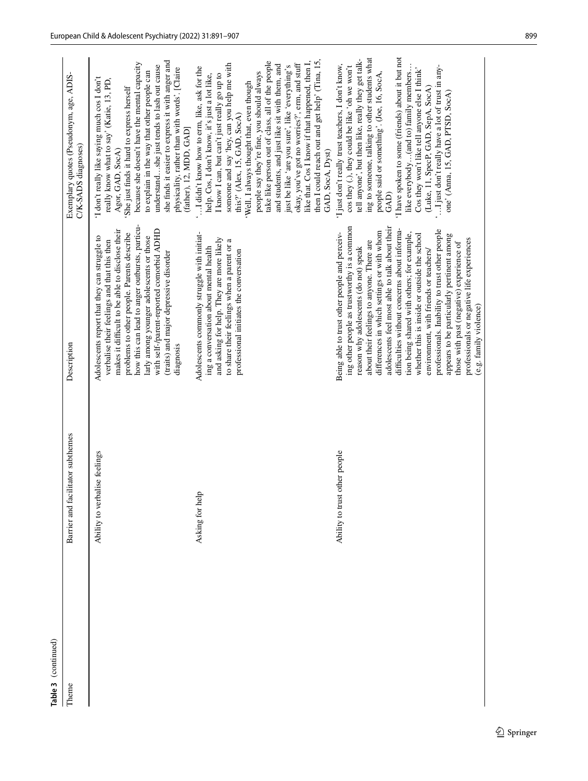| (continued)<br>Table <sub>3</sub> |                                   |                                                                                                                                                                                                                                                                                                                                                                                                                                                                                                                                                                                                                                                                                                 |                                                                                                                                                                                                                                                                                                                                                                                                                                                                                                                                                                                                                                                             |
|-----------------------------------|-----------------------------------|-------------------------------------------------------------------------------------------------------------------------------------------------------------------------------------------------------------------------------------------------------------------------------------------------------------------------------------------------------------------------------------------------------------------------------------------------------------------------------------------------------------------------------------------------------------------------------------------------------------------------------------------------------------------------------------------------|-------------------------------------------------------------------------------------------------------------------------------------------------------------------------------------------------------------------------------------------------------------------------------------------------------------------------------------------------------------------------------------------------------------------------------------------------------------------------------------------------------------------------------------------------------------------------------------------------------------------------------------------------------------|
| Theme                             | Barrier and facilitator subthemes | Description                                                                                                                                                                                                                                                                                                                                                                                                                                                                                                                                                                                                                                                                                     | Exemplary quotes (Pseudonym, age, ADIS-<br>C/K-SADS diagnoses)                                                                                                                                                                                                                                                                                                                                                                                                                                                                                                                                                                                              |
|                                   | Ability to verbalise feelings     | how this can lead to anger outbursts, particu-<br>makes it difficult to be able to disclose their<br>with self-/parent-reported comorbid ADHD<br>problems to other people. Parents describe<br>Adolescents report that they can struggle to<br>larly among younger adolescents or those<br>verbalise their feelings and that this then<br>(traits) and major depressive disorder<br>diagnosis                                                                                                                                                                                                                                                                                                   | she finds it easier to express it with anger and<br>because she doesn't have the mental capacity<br>understandshe just tends to lash out cause<br>physicality, rather than with words'. [Claire<br>to explain in the way that other people can<br>I don't really like saying much cos I don't<br>really know what to say' (Katie, 13, PD,<br>She just finds it hard to express herself<br>(father), 12, MDD, GAD]<br>Agor, GAD, SocA)                                                                                                                                                                                                                       |
|                                   | Asking for help                   | Adolescents commonly struggle with initiat-<br>and asking for help. They are more likely<br>to share their feelings when a parent or a<br>ing a conversation about mental health<br>professional initiates the conversation                                                                                                                                                                                                                                                                                                                                                                                                                                                                     | then I could reach out and get help' (Tina, 15,<br>like that. Cos I know if that happened, then I,<br>take like person out of class, all of the people<br>someone and say 'hey, can you help me with<br>okay, you've got no worries?', erm, and stuff<br>and students, and just like sit with them, and<br>just be like 'are you sure', like 'everything's<br>'I didn't know how to erm, like, ask for the<br>people say they're fine, you should always<br>I know I can, but can't just really go up to<br>help. Cos, I don't know, it's just a lot like,<br>'Well, I always thought that, even though<br>this?' (Alex, 15, GAD, SocA)<br>GAD, SocA, Dyst) |
|                                   | Ability to trust other people     | ing other people as trustworthy is a common<br>adolescents feel most able to talk about their<br>difficulties without concerns about informa-<br>professionals. Inability to trust other people<br>differences in which settings or with whom<br>Being able to trust other people and perceiv-<br>tion being shared with others; for example,<br>whether this is inside or outside the school<br>appears to be particularly pertinent among<br>professionals or negative life experiences<br>about their feelings to anyone. There are<br>those with past (negative) experience of<br>environment, with friends or teachers/<br>reason why adolescents (do not) speak<br>(e.g. family violence) | 'I have spoken to some (friends) about it but not<br>ing to someone, talking to other students what<br>tell anyone', but then like, really they get talk-<br>'I just don't really trust teachers, I don't know,<br>like everybody(and to) family members<br>" I just don't really have a lot of trust in any-<br>cos they (.), they could be like 'oh we won't<br>Cos they won't like tell anyone else I think'<br>people said or something'. (Joe, 16, SocA,<br>(Luke, 11, SpecP, GAD, SepA, SocA)<br>one' (Anna, 15, GAD, PTSD, SocA)<br>GAD)                                                                                                             |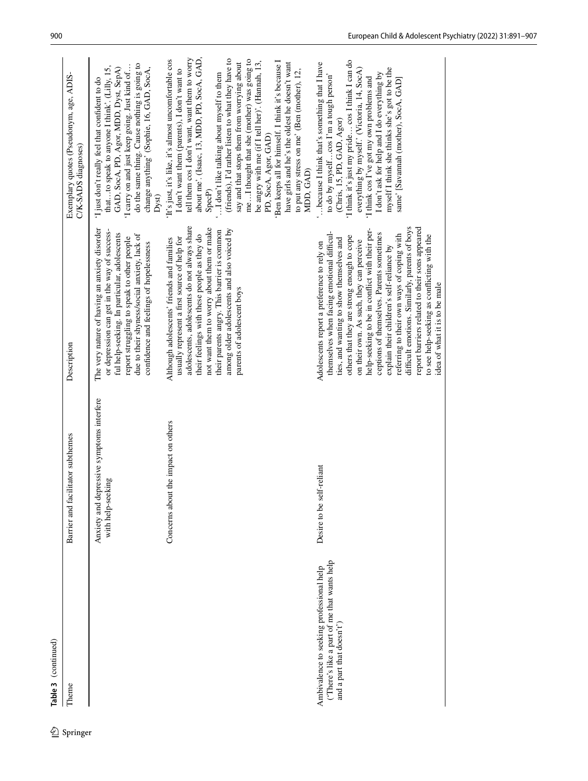| �        | Table 3 (continued)                                                                                                  |                                                                    |                                                                                                                                                                                                                                                                                                                                                                                                                                                                                                                                                                                                              |                                                                                                                                                                                                                                                                                                                                                                                                                                                                                                                                                                                                                                                              |
|----------|----------------------------------------------------------------------------------------------------------------------|--------------------------------------------------------------------|--------------------------------------------------------------------------------------------------------------------------------------------------------------------------------------------------------------------------------------------------------------------------------------------------------------------------------------------------------------------------------------------------------------------------------------------------------------------------------------------------------------------------------------------------------------------------------------------------------------|--------------------------------------------------------------------------------------------------------------------------------------------------------------------------------------------------------------------------------------------------------------------------------------------------------------------------------------------------------------------------------------------------------------------------------------------------------------------------------------------------------------------------------------------------------------------------------------------------------------------------------------------------------------|
| Springer | Theme                                                                                                                | Barrier and facilitator subthemes                                  | Description                                                                                                                                                                                                                                                                                                                                                                                                                                                                                                                                                                                                  | Exemplary quotes (Pseudonym, age, ADIS-<br>C/K-SADS diagnoses)                                                                                                                                                                                                                                                                                                                                                                                                                                                                                                                                                                                               |
|          |                                                                                                                      | Anxiety and depressive symptoms interfere<br>king<br>with help-see | The very nature of having an anxiety disorder<br>or depression can get in the way of success-<br>ful help-seeking. In particular, adolescents<br>due to their shyness/social anxiety, lack of<br>report struggling to speak to other people<br>confidence and feelings of hopelessness                                                                                                                                                                                                                                                                                                                       | do the same thing. Cause nothing is going to<br>I carry on and just keep going. Just kind of<br>thatto speak to anyone I think'. (Lilly, 15,<br>change anything' (Sophie, 16, GAD, SocA,<br>GAD, SocA, PD, Agor, MDD, Dyst, SepA)<br>I just don't really feel that confident to do<br>Dyst)                                                                                                                                                                                                                                                                                                                                                                  |
|          |                                                                                                                      | Concerns about the impact on others                                | adolescents, adolescents do not always share<br>not want them to worry about them or make<br>among older adolescents and also voiced by<br>their parents angry. This barrier is common<br>their feelings with these people as they do<br>usually represent a first source of help for<br>Although adolescents' friends and families<br>parents of adolescent boys                                                                                                                                                                                                                                            | about me'. (Isaac, 13, MDD, PD, SocA, GAD,<br>tell them cos I don't want, want them to worry<br>(friends), I'd rather listen to what they have to<br>meI thought that she (mother) was going to<br>'It's just, it's like, it's almost uncomfortable cos<br>'Ben keeps all for himself. I think it's because I<br>be angry with me (if I tell her)'. (Hannah, 13,<br>say and that stops them from worrying about<br>have girls and he's the oldest he doesn't want<br>I don't want them (parents), I don't want to<br>to put any stress on me' (Ben (mother), 12,<br>I don't like talking about myself to them<br>PD, SocA, Agor, GAD)<br>MDD, GAD)<br>SpecP) |
|          | ('There's like a part of me that wants help<br>Ambivalence to seeking professional help<br>and a part that doesn't') | Desire to be self-reliant                                          | difficult emotions. Similarly, parents of boys<br>report barriers related to their sons appeared<br>help-seeking to be in conflict with their per-<br>themselves when facing emotional difficul-<br>ceptions of themselves. Parents sometimes<br>referring to their own ways of coping with<br>to see help-seeking as conflicting with the<br>others that they are strong enough to cope<br>ties, and wanting to show themselves and<br>on their own. As such, they can perceive<br>Adolescents report a preference to rely on<br>explain their children's self-reliance by<br>idea of what it is to be male | 'I think it's just my pride cos I think I can do<br>because I think that's something that I have<br>myself I think she thinks she's got to be the<br>everything by myself.' (Victoria, 14, SocA)<br>I don't ask for help and I do everything by<br>to do by myselfcos I'm a tough person'<br>I think cos I've got my own problems and<br>same' [Savannah (mother), SocA, GAD]<br>(Chris, 15, PD, GAD, Agor)                                                                                                                                                                                                                                                  |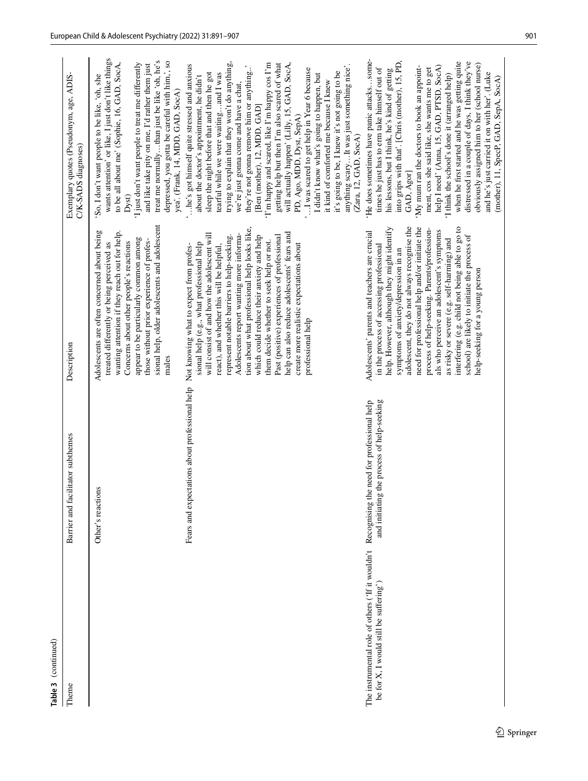| Theme                                                                                                   | Barrier and facilitator subthemes                                                      | Description                                                                                                                                                                                                                                                                                                                                                                                                                                                                                                                                                          | Exemplary quotes (Pseudonym, age, ADIS-<br>C/K-SADS diagnoses)                                                                                                                                                                                                                                                                                                                                                                                                                                                                                                                                                                                                                                                                                                                                         |
|---------------------------------------------------------------------------------------------------------|----------------------------------------------------------------------------------------|----------------------------------------------------------------------------------------------------------------------------------------------------------------------------------------------------------------------------------------------------------------------------------------------------------------------------------------------------------------------------------------------------------------------------------------------------------------------------------------------------------------------------------------------------------------------|--------------------------------------------------------------------------------------------------------------------------------------------------------------------------------------------------------------------------------------------------------------------------------------------------------------------------------------------------------------------------------------------------------------------------------------------------------------------------------------------------------------------------------------------------------------------------------------------------------------------------------------------------------------------------------------------------------------------------------------------------------------------------------------------------------|
|                                                                                                         | Other's reactions                                                                      | sional help, older adolescents and adolescent<br>Adolescents are often concerned about being<br>wanting attention if they reach out for help.<br>appear to be particularly common among<br>those without prior experience of profes-<br>treated differently or being perceived as<br>Concerns about other people's reactions<br>males                                                                                                                                                                                                                                | wants attention' or like, I just don't like things<br>treat me normallythan just be like 'oh, he's<br>depressed, you gotta be careful with him,', so<br>to be all about me' (Sophie, 16, GAD, SocA,<br>'I just don't want people to treat me differently<br>and like take pity on me, I'd rather them just<br>So, I don't want people to be like, 'oh, she<br>yea'. (Frank, 14, MDD, GAD, SocA)<br>Dyst)                                                                                                                                                                                                                                                                                                                                                                                               |
|                                                                                                         | Fears and expectations about professional help Not knowing what to expect from profes- | tion about what professional help looks like,<br>help can also reduce adolescents' fears and<br>Adolescents report wanting more informa-<br>will consist of and how the adolescent will<br>Past (positive) experiences of professional<br>represent notable barriers to help-seeking.<br>which could reduce their anxiety and help<br>them decide whether to seek help or not.<br>sional help (e.g., what professional help<br>create more realistic expectations about<br>react), and whether this will be helpful,<br>professional help                            | trying to explain that they won't do anything,<br>will actually happen' (Lilly, 15, GAD, SocA,<br>'I'm happy and scared, like I'm happy cos I'm<br>getting help but then I'm also scared of what<br>'he's got himself quite stressed and anxious<br>anything scaryIt was just something nice.<br>they're not gonna remove him or anything'<br>I was scared to get help in Year 6 because<br>it's going to be, I knew it's not going to be<br>sleep the night before that and then he got<br>tearful while we were waitingand I was<br>I didn't know what's going to happen, but<br>about the doctor's appointment, he didn't<br>it kind of comforted me because I knew<br>we're just gonna come and have a chat,<br>[Ben (mother), 12, MDD, GAD]<br>PD, Ago, MDD, Dyst, SepA)<br>(Zara, 12, GAD, SocA) |
| The instrumental role of others ('If it wouldn't Recognising t<br>be for X, I would still be suffering' | and initiating the process of help-seeking<br>the need for professional help           | adolescent, they do not always recognise the<br>interfering (e.g. child not being able to go to<br>help. However, although they might identify<br>need for professional help and/or initiate the<br>process of help-seeking. Parents/profession-<br>als who perceive an adolescent's symptoms<br>Adolescents' parents and teachers are crucial<br>school) are likely to initiate the process of<br>as risky or severe (e.g. self-harming) and<br>in the process of accessing professional<br>symptoms of anxiety/depression in an<br>help-seeking for a young person | 'He does sometimes have panic attackssome-<br>his lessons, but I think, he's kind of getting<br>into grips with that'. [Chris (mother), 15, PD,<br>when he first started and he was getting quite<br>distressed in a couple of days, I think they've<br>obviously assigned him to her (school nurse)<br>help I need' (Anna, 15, GAD, PTSD, SocA)<br>'My mum ran the doctors to book an appoint-<br>times he just has to erm take himself out of<br>ment, cos she said like, she wants me to get<br>and he's just carried it on with her'. (Luke<br>'I think the school's done it (arranged help)<br>(mother), 11, SpecP, GAD, SepA, SocA)<br>GAD, Agor]                                                                                                                                                |

**Table 3** (continued)

Table 3 (continued)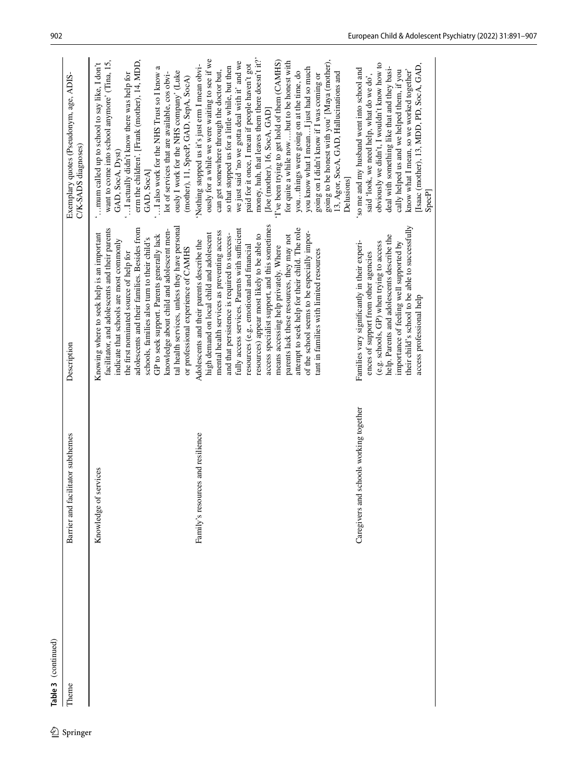|            | Table 3 (continued) |                                              |                                                                                                                                                                                                                                                                                                                                                                                                                                                                                                                                                                                                                                                                |                                                                                                                                                                                                                                                                                                                                                                                                                                                                                                                                                                                                                                                                                                                                                                                    |
|------------|---------------------|----------------------------------------------|----------------------------------------------------------------------------------------------------------------------------------------------------------------------------------------------------------------------------------------------------------------------------------------------------------------------------------------------------------------------------------------------------------------------------------------------------------------------------------------------------------------------------------------------------------------------------------------------------------------------------------------------------------------|------------------------------------------------------------------------------------------------------------------------------------------------------------------------------------------------------------------------------------------------------------------------------------------------------------------------------------------------------------------------------------------------------------------------------------------------------------------------------------------------------------------------------------------------------------------------------------------------------------------------------------------------------------------------------------------------------------------------------------------------------------------------------------|
| 2 Springer | Theme               | Barrier and facilitator subthemes            | Description                                                                                                                                                                                                                                                                                                                                                                                                                                                                                                                                                                                                                                                    | Exemplary quotes (Pseudonym, age, ADIS-<br>C/K-SADS diagnoses)                                                                                                                                                                                                                                                                                                                                                                                                                                                                                                                                                                                                                                                                                                                     |
|            |                     | Knowledge of services                        | tal health services, unless they have personal<br>adolescents and their families. Besides from<br>facilitator, and adolescents and their parents<br>knowledge about child and adolescent men-<br>Knowing where to seek help is an important<br>GP to seek support. Parents generally lack<br>schools, families also turn to their child's<br>indicate that schools are most commonly<br>the first nominated source of help for                                                                                                                                                                                                                                 | erm the children'. [Frank (mother), 14, MDD,<br>want to come into school anymore' (Tina, 15,<br>'mum called up to school to say like, I don't<br>' I also work for the NHS Trust so I know a<br>ously I work for the NHS company' (Luke<br>" I actually didn't know there was help for<br>lot of services that are available, cos obvi-<br>GAD, SocA, Dyst)<br>GAD, SocA]                                                                                                                                                                                                                                                                                                                                                                                                          |
|            |                     | Family's resources and resilience            | access specialist support, and this sometimes<br>attempt to seek help for their child. The role<br>fully access services. Parents with sufficient<br>mental health services as preventing access<br>of the school seems to be especially impor-<br>high demand on local child and adolescent<br>and that persistence is required to success-<br>resources) appear most likely to be able to<br>parents lack these resources, they may not<br>Adolescents and their parents describe the<br>resources (e.g., emotional and financial<br>means accessing help privately. Where<br>or professional experience of CAMHS<br>tant in families with limited resources | money, huh, that leaves them there doesn't it?'<br>ously for a while we were waiting to see if we<br>going to be honest with you' [Maya (mother),<br>T've been trying to get hold of them (CAMHS)<br>for quite a while now  but to be honest with<br>we just said 'no we gotta deal with it' and we<br>paid for it once, I mean if people haven't got<br>'Nothing stopped us it's just erm I mean obvi-<br>so that stopped us for a little while, but then<br>you know what I meanI just had so much<br>can get somewhere through the doctor but,<br>youthings were going on at the time, do<br>13, Agor, SocA, GAD, Hallucinations and<br>going on I didn't know if I was coming or<br>(mother), 11, SpecP, GAD, SepA, SocA)<br>[Joe (mother), 16, SocA, GAD]<br><b>Delusions</b> |
|            |                     | id schools working together<br>Caregivers ar | their child's school to be able to successfully<br>help. Parents and adolescents describe the<br>Families vary significantly in their experi-<br>(e.g. schools, GP) when trying to access<br>importance of feeling well supported by<br>ences of support from other agencies<br>access professional help                                                                                                                                                                                                                                                                                                                                                       | obviously we didn't, I wouldn't know how to<br>[Isaac (mother), 13, MDD, PD, SocA, GAD,<br>deal with something like that and they basi-<br>'so me and my husband went into school and<br>know what I mean, so we worked together'<br>cally helped us and we helped them, if you<br>said 'look, we need help, what do we do',<br>SpecP                                                                                                                                                                                                                                                                                                                                                                                                                                              |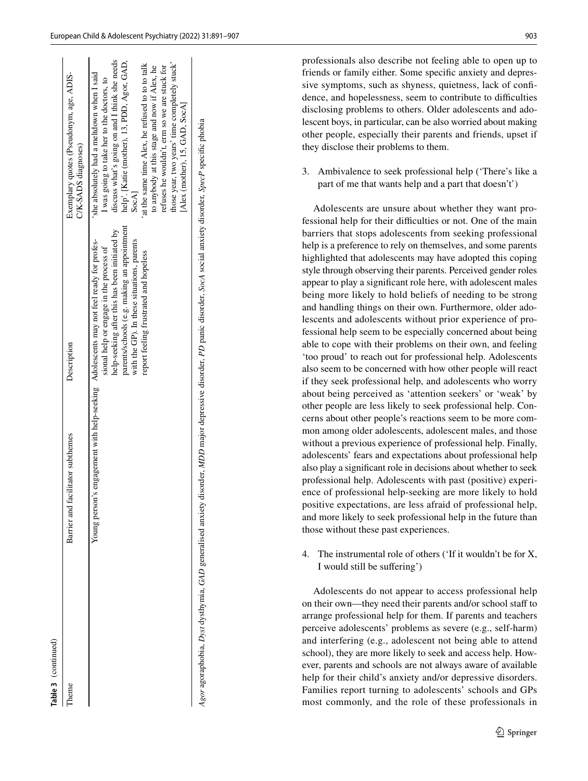| SocA<br>parents/schools (e.g. making an appointment<br>help-seeking after this has been initiated by<br>Young person's engagement with help-seeking Adolescents may not feel ready for profes-<br>with the GP). In these situations, parents<br>sional help or engage in the process of<br>report feeling frustrated and hopeless | l'heme | Barrier and facilitator subthemes | Description | Exemplary quotes (Pseudonym, age, ADIS-<br>C/K-SADS diagnoses)                                                                                                                                                                                                                                                                                                                                                                |
|-----------------------------------------------------------------------------------------------------------------------------------------------------------------------------------------------------------------------------------------------------------------------------------------------------------------------------------|--------|-----------------------------------|-------------|-------------------------------------------------------------------------------------------------------------------------------------------------------------------------------------------------------------------------------------------------------------------------------------------------------------------------------------------------------------------------------------------------------------------------------|
|                                                                                                                                                                                                                                                                                                                                   |        |                                   |             | discuss what's going on and I think she needs<br>help'. [Katie (mother), 13, PDD, Agor, GAD,<br>those year, two years' time completely stuck'<br>at the same time Alex, he refused to to to talk<br>to anybody at this stage and now if Alex, he<br>refuses he wouldn't, erm so we are stuck for<br>she absolutely had a meltdown when I said<br>I was going to take her to the doctors, to<br>[Alex (mother), 15, GAD, SocA] |

professionals also describe not feeling able to open up to friends or family either. Some specifc anxiety and depressive symptoms, such as shyness, quietness, lack of confdence, and hopelessness, seem to contribute to difficulties disclosing problems to others. Older adolescents and adolescent boys, in particular, can be also worried about making other people, especially their parents and friends, upset if they disclose their problems to them.

3. Ambivalence to seek professional help ('There's like a part of me that wants help and a part that doesn't')

Adolescents are unsure about whether they want professional help for their difficulties or not. One of the main barriers that stops adolescents from seeking professional help is a preference to rely on themselves, and some parents highlighted that adolescents may have adopted this coping style through observing their parents. Perceived gender roles appear to play a signifcant role here, with adolescent males being more likely to hold beliefs of needing to be strong and handling things on their own. Furthermore, older adolescents and adolescents without prior experience of professional help seem to be especially concerned about being able to cope with their problems on their own, and feeling 'too proud' to reach out for professional help. Adolescents also seem to be concerned with how other people will react if they seek professional help, and adolescents who worry about being perceived as 'attention seekers' or 'weak' by other people are less likely to seek professional help. Concerns about other people's reactions seem to be more common among older adolescents, adolescent males, and those without a previous experience of professional help. Finally, adolescents' fears and expectations about professional help also play a signifcant role in decisions about whether to seek professional help. Adolescents with past (positive) experience of professional help-seeking are more likely to hold positive expectations, are less afraid of professional help, and more likely to seek professional help in the future than those without these past experiences.

4. The instrumental role of others ('If it wouldn't be for X, I would still be sufering')

Adolescents do not appear to access professional help on their own—they need their parents and/or school staff to arrange professional help for them. If parents and teachers perceive adolescents' problems as severe (e.g., self-harm) and interfering (e.g., adolescent not being able to attend school), they are more likely to seek and access help. However, parents and schools are not always aware of available help for their child's anxiety and/or depressive disorders. Families report turning to adolescents' schools and GPs most commonly, and the role of these professionals in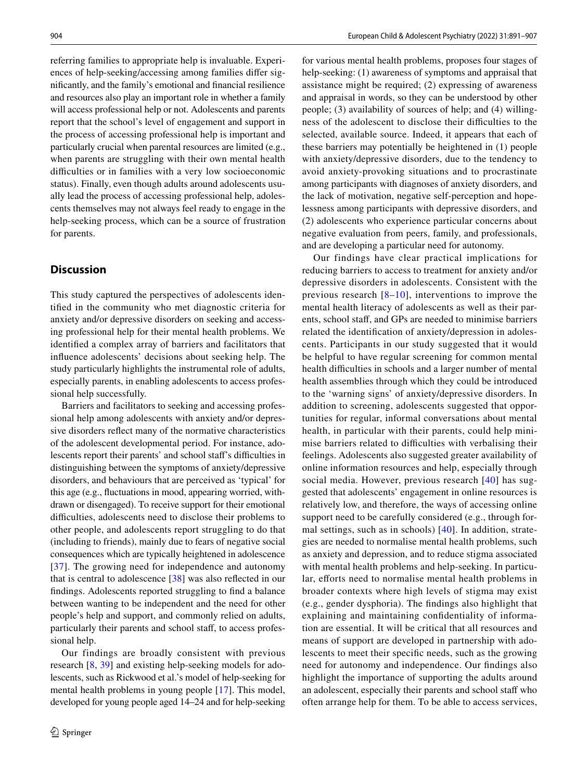referring families to appropriate help is invaluable. Experiences of help-seeking/accessing among families difer signifcantly, and the family's emotional and fnancial resilience and resources also play an important role in whether a family will access professional help or not. Adolescents and parents report that the school's level of engagement and support in the process of accessing professional help is important and particularly crucial when parental resources are limited (e.g., when parents are struggling with their own mental health difficulties or in families with a very low socioeconomic status). Finally, even though adults around adolescents usually lead the process of accessing professional help, adolescents themselves may not always feel ready to engage in the help-seeking process, which can be a source of frustration for parents.

# **Discussion**

This study captured the perspectives of adolescents identifed in the community who met diagnostic criteria for anxiety and/or depressive disorders on seeking and accessing professional help for their mental health problems. We identifed a complex array of barriers and facilitators that infuence adolescents' decisions about seeking help. The study particularly highlights the instrumental role of adults, especially parents, in enabling adolescents to access professional help successfully.

Barriers and facilitators to seeking and accessing professional help among adolescents with anxiety and/or depressive disorders refect many of the normative characteristics of the adolescent developmental period. For instance, adolescents report their parents' and school staff's difficulties in distinguishing between the symptoms of anxiety/depressive disorders, and behaviours that are perceived as 'typical' for this age (e.g., fuctuations in mood, appearing worried, withdrawn or disengaged). To receive support for their emotional difficulties, adolescents need to disclose their problems to other people, and adolescents report struggling to do that (including to friends), mainly due to fears of negative social consequences which are typically heightened in adolescence [[37\]](#page-16-2). The growing need for independence and autonomy that is central to adolescence [\[38](#page-16-3)] was also refected in our fndings. Adolescents reported struggling to fnd a balance between wanting to be independent and the need for other people's help and support, and commonly relied on adults, particularly their parents and school staff, to access professional help.

Our findings are broadly consistent with previous research [[8,](#page-15-7) [39](#page-16-4)] and existing help-seeking models for adolescents, such as Rickwood et al.'s model of help-seeking for mental health problems in young people [[17\]](#page-15-15). This model, developed for young people aged 14–24 and for help-seeking for various mental health problems, proposes four stages of help-seeking: (1) awareness of symptoms and appraisal that assistance might be required; (2) expressing of awareness and appraisal in words, so they can be understood by other people; (3) availability of sources of help; and (4) willingness of the adolescent to disclose their difficulties to the selected, available source. Indeed, it appears that each of these barriers may potentially be heightened in (1) people with anxiety/depressive disorders, due to the tendency to avoid anxiety-provoking situations and to procrastinate among participants with diagnoses of anxiety disorders, and the lack of motivation, negative self-perception and hopelessness among participants with depressive disorders, and (2) adolescents who experience particular concerns about negative evaluation from peers, family, and professionals, and are developing a particular need for autonomy.

Our findings have clear practical implications for reducing barriers to access to treatment for anxiety and/or depressive disorders in adolescents. Consistent with the previous research  $[8-10]$  $[8-10]$ , interventions to improve the mental health literacy of adolescents as well as their parents, school staf, and GPs are needed to minimise barriers related the identifcation of anxiety/depression in adolescents. Participants in our study suggested that it would be helpful to have regular screening for common mental health difficulties in schools and a larger number of mental health assemblies through which they could be introduced to the 'warning signs' of anxiety/depressive disorders. In addition to screening, adolescents suggested that opportunities for regular, informal conversations about mental health, in particular with their parents, could help minimise barriers related to difficulties with verbalising their feelings. Adolescents also suggested greater availability of online information resources and help, especially through social media. However, previous research [\[40](#page-16-5)] has suggested that adolescents' engagement in online resources is relatively low, and therefore, the ways of accessing online support need to be carefully considered (e.g., through formal settings, such as in schools) [\[40\]](#page-16-5). In addition, strategies are needed to normalise mental health problems, such as anxiety and depression, and to reduce stigma associated with mental health problems and help-seeking. In particular, efforts need to normalise mental health problems in broader contexts where high levels of stigma may exist (e.g., gender dysphoria). The fndings also highlight that explaining and maintaining confdentiality of information are essential. It will be critical that all resources and means of support are developed in partnership with adolescents to meet their specifc needs, such as the growing need for autonomy and independence. Our fndings also highlight the importance of supporting the adults around an adolescent, especially their parents and school staff who often arrange help for them. To be able to access services,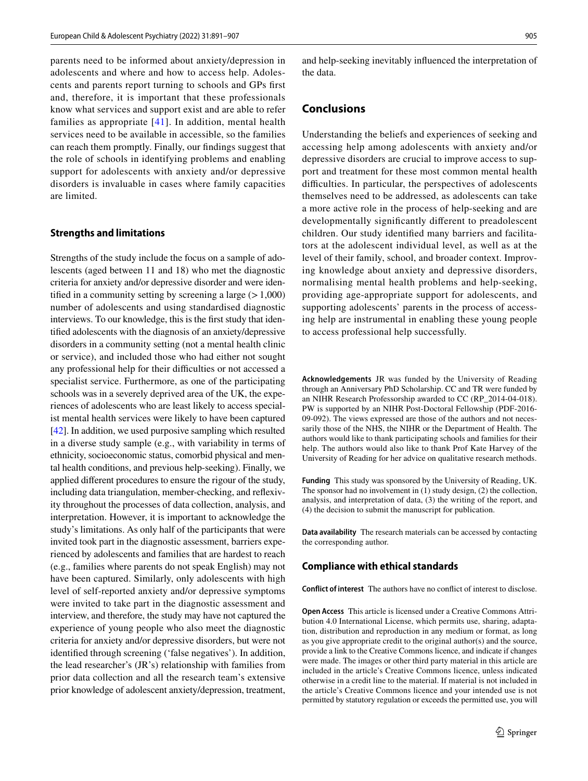parents need to be informed about anxiety/depression in adolescents and where and how to access help. Adolescents and parents report turning to schools and GPs frst and, therefore, it is important that these professionals know what services and support exist and are able to refer families as appropriate [[41](#page-16-6)]. In addition, mental health services need to be available in accessible, so the families can reach them promptly. Finally, our fndings suggest that the role of schools in identifying problems and enabling support for adolescents with anxiety and/or depressive disorders is invaluable in cases where family capacities are limited.

#### **Strengths and limitations**

Strengths of the study include the focus on a sample of adolescents (aged between 11 and 18) who met the diagnostic criteria for anxiety and/or depressive disorder and were identified in a community setting by screening a large  $(>1,000)$ number of adolescents and using standardised diagnostic interviews. To our knowledge, this is the frst study that identifed adolescents with the diagnosis of an anxiety/depressive disorders in a community setting (not a mental health clinic or service), and included those who had either not sought any professional help for their difficulties or not accessed a specialist service. Furthermore, as one of the participating schools was in a severely deprived area of the UK, the experiences of adolescents who are least likely to access specialist mental health services were likely to have been captured [\[42](#page-16-7)]. In addition, we used purposive sampling which resulted in a diverse study sample (e.g., with variability in terms of ethnicity, socioeconomic status, comorbid physical and mental health conditions, and previous help-seeking). Finally, we applied diferent procedures to ensure the rigour of the study, including data triangulation, member-checking, and refexivity throughout the processes of data collection, analysis, and interpretation. However, it is important to acknowledge the study's limitations. As only half of the participants that were invited took part in the diagnostic assessment, barriers experienced by adolescents and families that are hardest to reach (e.g., families where parents do not speak English) may not have been captured. Similarly, only adolescents with high level of self-reported anxiety and/or depressive symptoms were invited to take part in the diagnostic assessment and interview, and therefore, the study may have not captured the experience of young people who also meet the diagnostic criteria for anxiety and/or depressive disorders, but were not identifed through screening ('false negatives'). In addition, the lead researcher's (JR's) relationship with families from prior data collection and all the research team's extensive prior knowledge of adolescent anxiety/depression, treatment,

and help-seeking inevitably infuenced the interpretation of the data.

# **Conclusions**

Understanding the beliefs and experiences of seeking and accessing help among adolescents with anxiety and/or depressive disorders are crucial to improve access to support and treatment for these most common mental health difficulties. In particular, the perspectives of adolescents themselves need to be addressed, as adolescents can take a more active role in the process of help-seeking and are developmentally signifcantly diferent to preadolescent children. Our study identifed many barriers and facilitators at the adolescent individual level, as well as at the level of their family, school, and broader context. Improving knowledge about anxiety and depressive disorders, normalising mental health problems and help-seeking, providing age-appropriate support for adolescents, and supporting adolescents' parents in the process of accessing help are instrumental in enabling these young people to access professional help successfully.

**Acknowledgements** JR was funded by the University of Reading through an Anniversary PhD Scholarship. CC and TR were funded by an NIHR Research Professorship awarded to CC (RP\_2014-04-018). PW is supported by an NIHR Post-Doctoral Fellowship (PDF-2016- 09-092). The views expressed are those of the authors and not necessarily those of the NHS, the NIHR or the Department of Health. The authors would like to thank participating schools and families for their help. The authors would also like to thank Prof Kate Harvey of the University of Reading for her advice on qualitative research methods.

**Funding** This study was sponsored by the University of Reading, UK. The sponsor had no involvement in (1) study design, (2) the collection, analysis, and interpretation of data, (3) the writing of the report, and (4) the decision to submit the manuscript for publication.

**Data availability** The research materials can be accessed by contacting the corresponding author.

### **Compliance with ethical standards**

**Conflict of interest** The authors have no confict of interest to disclose.

**Open Access** This article is licensed under a Creative Commons Attribution 4.0 International License, which permits use, sharing, adaptation, distribution and reproduction in any medium or format, as long as you give appropriate credit to the original author(s) and the source, provide a link to the Creative Commons licence, and indicate if changes were made. The images or other third party material in this article are included in the article's Creative Commons licence, unless indicated otherwise in a credit line to the material. If material is not included in the article's Creative Commons licence and your intended use is not permitted by statutory regulation or exceeds the permitted use, you will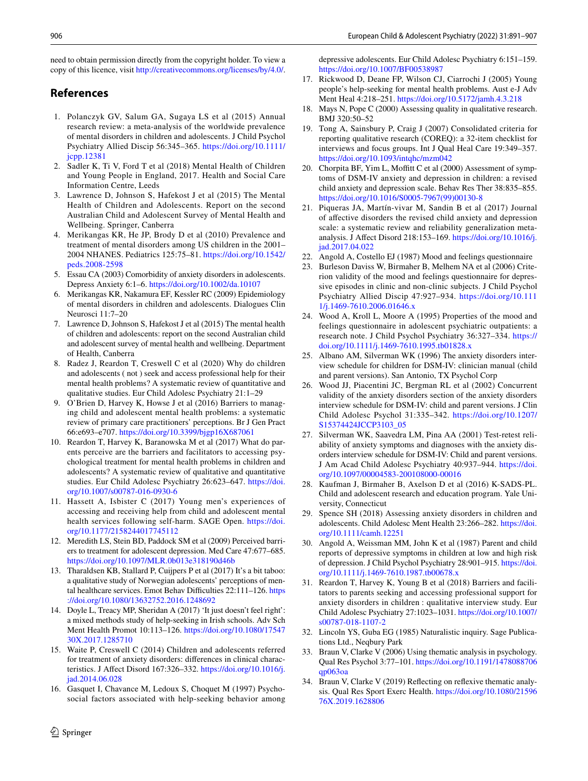need to obtain permission directly from the copyright holder. To view a copy of this licence, visit <http://creativecommons.org/licenses/by/4.0/>.

# **References**

- <span id="page-15-0"></span>1. Polanczyk GV, Salum GA, Sugaya LS et al (2015) Annual research review: a meta-analysis of the worldwide prevalence of mental disorders in children and adolescents. J Child Psychol Psychiatry Allied Discip 56:345–365. [https://doi.org/10.1111/](https://doi.org/10.1111/jcpp.12381) [jcpp.12381](https://doi.org/10.1111/jcpp.12381)
- <span id="page-15-3"></span>2. Sadler K, Ti V, Ford T et al (2018) Mental Health of Children and Young People in England, 2017. Health and Social Care Information Centre, Leeds
- <span id="page-15-4"></span>3. Lawrence D, Johnson S, Hafekost J et al (2015) The Mental Health of Children and Adolescents. Report on the second Australian Child and Adolescent Survey of Mental Health and Wellbeing. Springer, Canberra
- <span id="page-15-1"></span>4. Merikangas KR, He JP, Brody D et al (2010) Prevalence and treatment of mental disorders among US children in the 2001– 2004 NHANES. Pediatrics 125:75–81. [https://doi.org/10.1542/](https://doi.org/10.1542/peds.2008-2598) [peds.2008-2598](https://doi.org/10.1542/peds.2008-2598)
- <span id="page-15-2"></span>5. Essau CA (2003) Comorbidity of anxiety disorders in adolescents. Depress Anxiety 6:1–6.<https://doi.org/10.1002/da.10107>
- <span id="page-15-5"></span>6. Merikangas KR, Nakamura EF, Kessler RC (2009) Epidemiology of mental disorders in children and adolescents. Dialogues Clin Neurosci 11:7–20
- <span id="page-15-6"></span>7. Lawrence D, Johnson S, Hafekost J et al (2015) The mental health of children and adolescents: report on the second Australian child and adolescent survey of mental health and wellbeing. Department of Health, Canberra
- <span id="page-15-7"></span>8. Radez J, Reardon T, Creswell C et al (2020) Why do children and adolescents ( not ) seek and access professional help for their mental health problems? A systematic review of quantitative and qualitative studies. Eur Child Adolesc Psychiatry 21:1–29
- 9. O'Brien D, Harvey K, Howse J et al (2016) Barriers to managing child and adolescent mental health problems: a systematic review of primary care practitioners' perceptions. Br J Gen Pract 66:e693–e707. <https://doi.org/10.3399/bjgp16X687061>
- <span id="page-15-8"></span>10. Reardon T, Harvey K, Baranowska M et al (2017) What do parents perceive are the barriers and facilitators to accessing psychological treatment for mental health problems in children and adolescents? A systematic review of qualitative and quantitative studies. Eur Child Adolesc Psychiatry 26:623–647. [https://doi.](https://doi.org/10.1007/s00787-016-0930-6) [org/10.1007/s00787-016-0930-6](https://doi.org/10.1007/s00787-016-0930-6)
- <span id="page-15-9"></span>11. Hassett A, Isbister C (2017) Young men's experiences of accessing and receiving help from child and adolescent mental health services following self-harm. SAGE Open. [https://doi.](https://doi.org/10.1177/2158244017745112) [org/10.1177/2158244017745112](https://doi.org/10.1177/2158244017745112)
- <span id="page-15-10"></span>12. Meredith LS, Stein BD, Paddock SM et al (2009) Perceived barriers to treatment for adolescent depression. Med Care 47:677–685. <https://doi.org/10.1097/MLR.0b013e318190d46b>
- <span id="page-15-11"></span>13. Tharaldsen KB, Stallard P, Cuijpers P et al (2017) It's a bit taboo: a qualitative study of Norwegian adolescents' perceptions of mental healthcare services. Emot Behav Difficulties 22:111-126. [https](https://doi.org/10.1080/13632752.2016.1248692) [://doi.org/10.1080/13632752.2016.1248692](https://doi.org/10.1080/13632752.2016.1248692)
- <span id="page-15-12"></span>14. Doyle L, Treacy MP, Sheridan A (2017) 'It just doesn't feel right': a mixed methods study of help-seeking in Irish schools. Adv Sch Ment Health Promot 10:113–126. [https://doi.org/10.1080/17547](https://doi.org/10.1080/1754730X.2017.1285710) [30X.2017.1285710](https://doi.org/10.1080/1754730X.2017.1285710)
- <span id="page-15-13"></span>15. Waite P, Creswell C (2014) Children and adolescents referred for treatment of anxiety disorders: diferences in clinical characteristics. J Afect Disord 167:326–332. [https://doi.org/10.1016/j.](https://doi.org/10.1016/j.jad.2014.06.028) [jad.2014.06.028](https://doi.org/10.1016/j.jad.2014.06.028)
- <span id="page-15-14"></span>16. Gasquet I, Chavance M, Ledoux S, Choquet M (1997) Psychosocial factors associated with help-seeking behavior among

 $\circled{2}$  Springer

depressive adolescents. Eur Child Adolesc Psychiatry 6:151–159. <https://doi.org/10.1007/BF00538987>

- <span id="page-15-15"></span>17. Rickwood D, Deane FP, Wilson CJ, Ciarrochi J (2005) Young people's help-seeking for mental health problems. Aust e-J Adv Ment Heal 4:218–251. <https://doi.org/10.5172/jamh.4.3.218>
- <span id="page-15-16"></span>18. Mays N, Pope C (2000) Assessing quality in qualitative research. BMJ 320:50–52
- <span id="page-15-17"></span>19. Tong A, Sainsbury P, Craig J (2007) Consolidated criteria for reporting qualitative research (COREQ): a 32-item checklist for interviews and focus groups. Int J Qual Heal Care 19:349–357. <https://doi.org/10.1093/intqhc/mzm042>
- <span id="page-15-18"></span>20. Chorpita BF, Yim L, Moffitt C et al (2000) Assessment of symptoms of DSM-IV anxiety and depression in children: a revised child anxiety and depression scale. Behav Res Ther 38:835–855. [https://doi.org/10.1016/S0005-7967\(99\)00130-8](https://doi.org/10.1016/S0005-7967(99)00130-8)
- <span id="page-15-19"></span>21. Piqueras JA, Martín-vivar M, Sandin B et al (2017) Journal of afective disorders the revised child anxiety and depression scale: a systematic review and reliability generalization metaanalysis. J Afect Disord 218:153–169. [https://doi.org/10.1016/j.](https://doi.org/10.1016/j.jad.2017.04.022) [jad.2017.04.022](https://doi.org/10.1016/j.jad.2017.04.022)
- <span id="page-15-20"></span>22. Angold A, Costello EJ (1987) Mood and feelings questionnaire
- <span id="page-15-21"></span>23. Burleson Daviss W, Birmaher B, Melhem NA et al (2006) Criterion validity of the mood and feelings questionnaire for depressive episodes in clinic and non-clinic subjects. J Child Psychol Psychiatry Allied Discip 47:927–934. [https://doi.org/10.111](https://doi.org/10.1111/j.1469-7610.2006.01646.x) [1/j.1469-7610.2006.01646.x](https://doi.org/10.1111/j.1469-7610.2006.01646.x)
- <span id="page-15-22"></span>24. Wood A, Kroll L, Moore A (1995) Properties of the mood and feelings questionnaire in adolescent psychiatric outpatients: a research note. J Child Psychol Psychiatry 36:327–334. [https://](https://doi.org/10.1111/j.1469-7610.1995.tb01828.x) [doi.org/10.1111/j.1469-7610.1995.tb01828.x](https://doi.org/10.1111/j.1469-7610.1995.tb01828.x)
- <span id="page-15-23"></span>25. Albano AM, Silverman WK (1996) The anxiety disorders interview schedule for children for DSM-IV: clinician manual (child and parent versions). San Antonio, TX Psychol Corp
- <span id="page-15-24"></span>26. Wood JJ, Piacentini JC, Bergman RL et al (2002) Concurrent validity of the anxiety disorders section of the anxiety disorders interview schedule for DSM-IV: child and parent versions. J Clin Child Adolesc Psychol 31:335–342. [https://doi.org/10.1207/](https://doi.org/10.1207/S15374424JCCP3103_05) [S15374424JCCP3103\\_05](https://doi.org/10.1207/S15374424JCCP3103_05)
- <span id="page-15-25"></span>27. Silverman WK, Saavedra LM, Pina AA (2001) Test-retest reliability of anxiety symptoms and diagnoses with the anxiety disorders interview schedule for DSM-IV: Child and parent versions. J Am Acad Child Adolesc Psychiatry 40:937–944. [https://doi.](https://doi.org/10.1097/00004583-200108000-00016) [org/10.1097/00004583-200108000-00016](https://doi.org/10.1097/00004583-200108000-00016)
- <span id="page-15-26"></span>28. Kaufman J, Birmaher B, Axelson D et al (2016) K-SADS-PL. Child and adolescent research and education program. Yale University, Connecticut
- <span id="page-15-27"></span>29. Spence SH (2018) Assessing anxiety disorders in children and adolescents. Child Adolesc Ment Health 23:266–282. [https://doi.](https://doi.org/10.1111/camh.12251) [org/10.1111/camh.12251](https://doi.org/10.1111/camh.12251)
- <span id="page-15-28"></span>30. Angold A, Weissman MM, John K et al (1987) Parent and child reports of depressive symptoms in children at low and high risk of depression. J Child Psychol Psychiatry 28:901–915. [https://doi.](https://doi.org/10.1111/j.1469-7610.1987.tb00678.x) [org/10.1111/j.1469-7610.1987.tb00678.x](https://doi.org/10.1111/j.1469-7610.1987.tb00678.x)
- <span id="page-15-29"></span>31. Reardon T, Harvey K, Young B et al (2018) Barriers and facilitators to parents seeking and accessing professional support for anxiety disorders in children : qualitative interview study. Eur Child Adolesc Psychiatry 27:1023–1031. [https://doi.org/10.1007/](https://doi.org/10.1007/s00787-018-1107-2) [s00787-018-1107-2](https://doi.org/10.1007/s00787-018-1107-2)
- <span id="page-15-30"></span>32. Lincoln YS, Guba EG (1985) Naturalistic inquiry. Sage Publications Ltd., Neqbury Park
- <span id="page-15-31"></span>33. Braun V, Clarke V (2006) Using thematic analysis in psychology. Qual Res Psychol 3:77–101. [https://doi.org/10.1191/1478088706](https://doi.org/10.1191/1478088706qp063oa) [qp063oa](https://doi.org/10.1191/1478088706qp063oa)
- <span id="page-15-32"></span>34. Braun V, Clarke V (2019) Refecting on refexive thematic analysis. Qual Res Sport Exerc Health. [https://doi.org/10.1080/21596](https://doi.org/10.1080/2159676X.2019.1628806) [76X.2019.1628806](https://doi.org/10.1080/2159676X.2019.1628806)